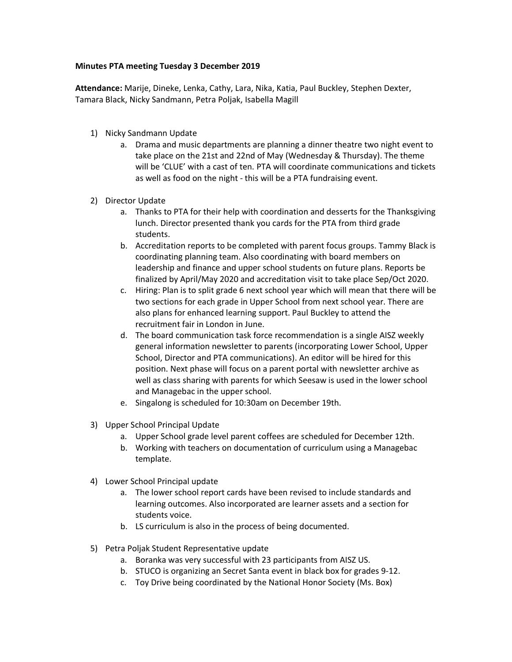## **Minutes PTA meeting Tuesday 3 December 2019**

**Attendance:** Marije, Dineke, Lenka, Cathy, Lara, Nika, Katia, Paul Buckley, Stephen Dexter, Tamara Black, Nicky Sandmann, Petra Poljak, Isabella Magill

- 1) Nicky Sandmann Update
	- a. Drama and music departments are planning a dinner theatre two night event to take place on the 21st and 22nd of May (Wednesday & Thursday). The theme will be 'CLUE' with a cast of ten. PTA will coordinate communications and tickets as well as food on the night - this will be a PTA fundraising event.
- 2) Director Update
	- a. Thanks to PTA for their help with coordination and desserts for the Thanksgiving lunch. Director presented thank you cards for the PTA from third grade students.
	- b. Accreditation reports to be completed with parent focus groups. Tammy Black is coordinating planning team. Also coordinating with board members on leadership and finance and upper school students on future plans. Reports be finalized by April/May 2020 and accreditation visit to take place Sep/Oct 2020.
	- c. Hiring: Plan is to split grade 6 next school year which will mean that there will be two sections for each grade in Upper School from next school year. There are also plans for enhanced learning support. Paul Buckley to attend the recruitment fair in London in June.
	- d. The board communication task force recommendation is a single AISZ weekly general information newsletter to parents (incorporating Lower School, Upper School, Director and PTA communications). An editor will be hired for this position. Next phase will focus on a parent portal with newsletter archive as well as class sharing with parents for which Seesaw is used in the lower school and Managebac in the upper school.
	- e. Singalong is scheduled for 10:30am on December 19th.
- 3) Upper School Principal Update
	- a. Upper School grade level parent coffees are scheduled for December 12th.
	- b. Working with teachers on documentation of curriculum using a Managebac template.
- 4) Lower School Principal update
	- a. The lower school report cards have been revised to include standards and learning outcomes. Also incorporated are learner assets and a section for students voice.
	- b. LS curriculum is also in the process of being documented.
- 5) Petra Poljak Student Representative update
	- a. Boranka was very successful with 23 participants from AISZ US.
	- b. STUCO is organizing an Secret Santa event in black box for grades 9-12.
	- c. Toy Drive being coordinated by the National Honor Society (Ms. Box)